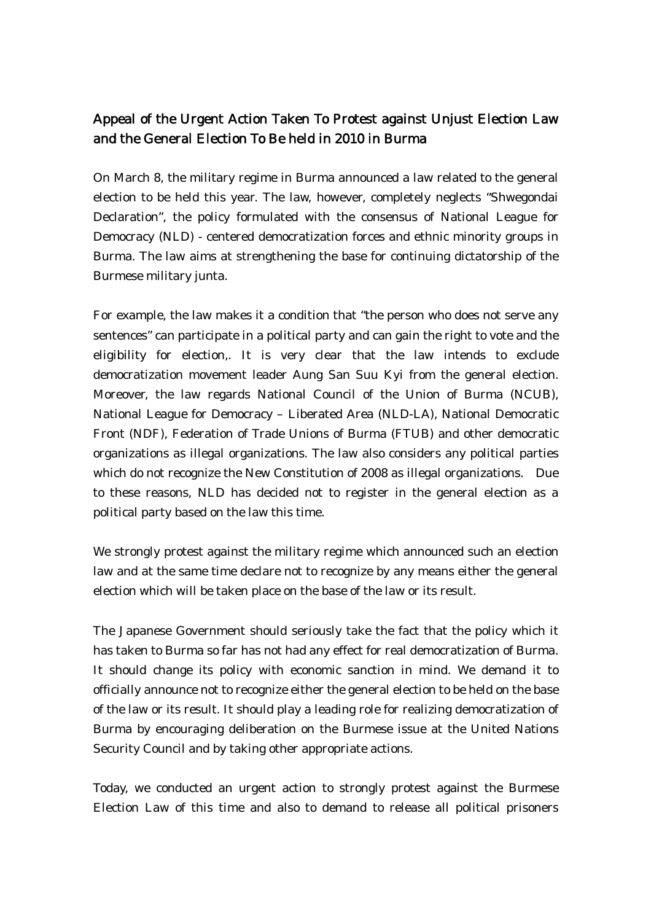## Appeal of the Urgent Action Taken To Protest against Unjust Election Law and the General Election To Be held in 2010 in Burma

On March 8, the military regime in Burma announced a law related to the general election to be held this year. The law, however, completely neglects "Shwegondai Declaration", the policy formulated with the consensus of National League for Democracy (NLD) - centered democratization forces and ethnic minority groups in Burma. The law aims at strengthening the base for continuing dictatorship of the Burmese military junta.

For example, the law makes it a condition that "the person who does not serve any sentences" can participate in a political party and can gain the right to vote and the eligibility for election,. It is very clear that the law intends to exclude democratization movement leader Aung San Suu Kyi from the general election. Moreover, the law regards National Council of the Union of Burma (NCUB), National League for Democracy – Liberated Area (NLD-LA), National Democratic Front (NDF), Federation of Trade Unions of Burma (FTUB) and other democratic organizations as illegal organizations. The law also considers any political parties which do not recognize the New Constitution of 2008 as illegal organizations. Due to these reasons, NLD has decided not to register in the general election as a political party based on the law this time.

We strongly protest against the military regime which announced such an election law and at the same time declare not to recognize by any means either the general election which will be taken place on the base of the law or its result.

The Japanese Government should seriously take the fact that the policy which it has taken to Burma so far has not had any effect for real democratization of Burma. It should change its policy with economic sanction in mind. We demand it to officially announce not to recognize either the general election to be held on the base of the law or its result. It should play a leading role for realizing democratization of Burma by encouraging deliberation on the Burmese issue at the United Nations Security Council and by taking other appropriate actions.

Today, we conducted an urgent action to strongly protest against the Burmese Election Law of this time and also to demand to release all political prisoners